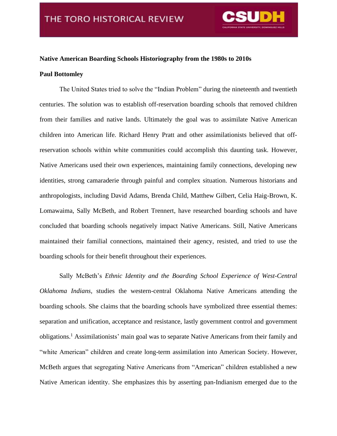

## **Native American Boarding Schools Historiography from the 1980s to 2010s**

## **Paul Bottomley**

The United States tried to solve the "Indian Problem" during the nineteenth and twentieth centuries. The solution was to establish off-reservation boarding schools that removed children from their families and native lands. Ultimately the goal was to assimilate Native American children into American life. Richard Henry Pratt and other assimilationists believed that offreservation schools within white communities could accomplish this daunting task. However, Native Americans used their own experiences, maintaining family connections, developing new identities, strong camaraderie through painful and complex situation. Numerous historians and anthropologists, including David Adams, Brenda Child, Matthew Gilbert, Celia Haig-Brown, K. Lomawaima, Sally McBeth, and Robert Trennert, have researched boarding schools and have concluded that boarding schools negatively impact Native Americans. Still, Native Americans maintained their familial connections, maintained their agency, resisted, and tried to use the boarding schools for their benefit throughout their experiences.

Sally McBeth's *Ethnic Identity and the Boarding School Experience of West-Central Oklahoma Indians,* studies the western-central Oklahoma Native Americans attending the boarding schools. She claims that the boarding schools have symbolized three essential themes: separation and unification, acceptance and resistance, lastly government control and government obligations.<sup>1</sup> Assimilationists' main goal was to separate Native Americans from their family and "white American" children and create long-term assimilation into American Society. However, McBeth argues that segregating Native Americans from "American" children established a new Native American identity. She emphasizes this by asserting pan-Indianism emerged due to the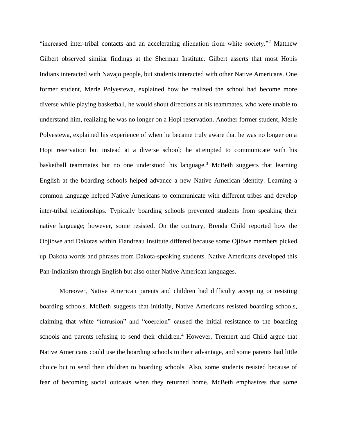"increased inter-tribal contacts and an accelerating alienation from white society."<sup>2</sup> Matthew Gilbert observed similar findings at the Sherman Institute. Gilbert asserts that most Hopis Indians interacted with Navajo people, but students interacted with other Native Americans. One former student, Merle Polyestewa, explained how he realized the school had become more diverse while playing basketball, he would shout directions at his teammates, who were unable to understand him, realizing he was no longer on a Hopi reservation. Another former student, Merle Polyestewa, explained his experience of when he became truly aware that he was no longer on a Hopi reservation but instead at a diverse school; he attempted to communicate with his basketball teammates but no one understood his language.<sup>3</sup> McBeth suggests that learning English at the boarding schools helped advance a new Native American identity. Learning a common language helped Native Americans to communicate with different tribes and develop inter-tribal relationships. Typically boarding schools prevented students from speaking their native language; however, some resisted. On the contrary, Brenda Child reported how the Objibwe and Dakotas within Flandreau Institute differed because some Ojibwe members picked up Dakota words and phrases from Dakota-speaking students. Native Americans developed this Pan-Indianism through English but also other Native American languages.

Moreover, Native American parents and children had difficulty accepting or resisting boarding schools. McBeth suggests that initially, Native Americans resisted boarding schools, claiming that white "intrusion" and "coercion" caused the initial resistance to the boarding schools and parents refusing to send their children.<sup>4</sup> However, Trennert and Child argue that Native Americans could use the boarding schools to their advantage, and some parents had little choice but to send their children to boarding schools. Also, some students resisted because of fear of becoming social outcasts when they returned home. McBeth emphasizes that some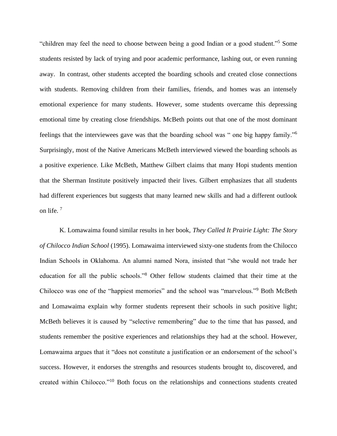"children may feel the need to choose between being a good Indian or a good student."<sup>5</sup> Some students resisted by lack of trying and poor academic performance, lashing out, or even running away. In contrast, other students accepted the boarding schools and created close connections with students. Removing children from their families, friends, and homes was an intensely emotional experience for many students. However, some students overcame this depressing emotional time by creating close friendships. McBeth points out that one of the most dominant feelings that the interviewees gave was that the boarding school was " one big happy family."<sup>6</sup> Surprisingly, most of the Native Americans McBeth interviewed viewed the boarding schools as a positive experience. Like McBeth, Matthew Gilbert claims that many Hopi students mention that the Sherman Institute positively impacted their lives. Gilbert emphasizes that all students had different experiences but suggests that many learned new skills and had a different outlook on life.<sup>7</sup>

K. Lomawaima found similar results in her book, *They Called It Prairie Light: The Story of Chilocco Indian School* (1995). Lomawaima interviewed sixty-one students from the Chilocco Indian Schools in Oklahoma. An alumni named Nora, insisted that "she would not trade her education for all the public schools."<sup>8</sup> Other fellow students claimed that their time at the Chilocco was one of the "happiest memories" and the school was "marvelous."<sup>9</sup> Both McBeth and Lomawaima explain why former students represent their schools in such positive light; McBeth believes it is caused by "selective remembering" due to the time that has passed, and students remember the positive experiences and relationships they had at the school. However, Lomawaima argues that it "does not constitute a justification or an endorsement of the school's success. However, it endorses the strengths and resources students brought to, discovered, and created within Chilocco."<sup>10</sup> Both focus on the relationships and connections students created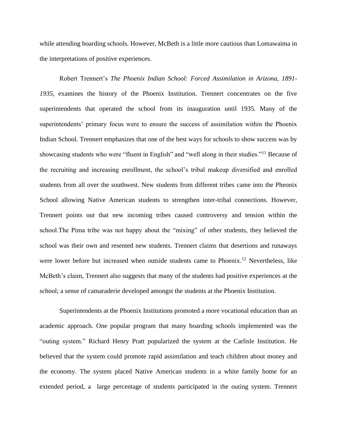while attending boarding schools. However, McBeth is a little more cautious than Lomawaima in the interpretations of positive experiences.

Robert Trennert's *The Phoenix Indian School: Forced Assimilation in Arizona, 1891- 1935,* examines the history of the Phoenix Institution. Trennert concentrates on the five superintendents that operated the school from its inauguration until 1935. Many of the superintendents' primary focus were to ensure the success of assimilation within the Phoenix Indian School. Trennert emphasizes that one of the best ways for schools to show success was by showcasing students who were "fluent in English" and "well along in their studies."<sup>11</sup> Because of the recruiting and increasing enrollment, the school's tribal makeup diversified and enrolled students from all over the southwest. New students from different tribes came into the Pheonix School allowing Native American students to strengthen inter-tribal connections. However, Trennert points out that new incoming tribes caused controversy and tension within the school.The Pima tribe was not happy about the "mixing" of other students, they believed the school was their own and resented new students. Trennert claims that desertions and runaways were lower before but increased when outside students came to Phoenix.<sup>12</sup> Nevertheless, like McBeth's claim, Trennert also suggests that many of the students had positive experiences at the school; a sense of camaraderie developed amongst the students at the Phoenix Institution.

Superintendents at the Phoenix Institutions promoted a more vocational education than an academic approach. One popular program that many boarding schools implemented was the "outing system." Richard Henry Pratt popularized the system at the Carlisle Institution. He believed that the system could promote rapid assimilation and teach children about money and the economy. The system placed Native American students in a white family home for an extended period, a large percentage of students participated in the outing system. Trennert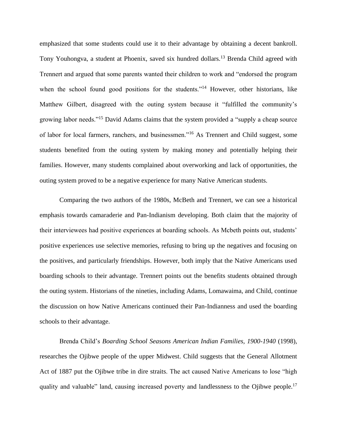emphasized that some students could use it to their advantage by obtaining a decent bankroll. Tony Youhongva, a student at Phoenix, saved six hundred dollars.<sup>13</sup> Brenda Child agreed with Trennert and argued that some parents wanted their children to work and "endorsed the program when the school found good positions for the students."<sup>14</sup> However, other historians, like Matthew Gilbert, disagreed with the outing system because it "fulfilled the community's growing labor needs."<sup>15</sup> David Adams claims that the system provided a "supply a cheap source of labor for local farmers, ranchers, and businessmen."<sup>16</sup> As Trennert and Child suggest, some students benefited from the outing system by making money and potentially helping their families. However, many students complained about overworking and lack of opportunities, the outing system proved to be a negative experience for many Native American students.

Comparing the two authors of the 1980s, McBeth and Trennert, we can see a historical emphasis towards camaraderie and Pan-Indianism developing. Both claim that the majority of their interviewees had positive experiences at boarding schools. As Mcbeth points out, students' positive experiences use selective memories, refusing to bring up the negatives and focusing on the positives, and particularly friendships. However, both imply that the Native Americans used boarding schools to their advantage. Trennert points out the benefits students obtained through the outing system. Historians of the nineties, including Adams, Lomawaima, and Child, continue the discussion on how Native Americans continued their Pan-Indianness and used the boarding schools to their advantage.

Brenda Child's *Boarding School Seasons American Indian Families, 1900-1940* (1998), researches the Ojibwe people of the upper Midwest. Child suggests that the General Allotment Act of 1887 put the Ojibwe tribe in dire straits. The act caused Native Americans to lose "high quality and valuable" land, causing increased poverty and landlessness to the Ojibwe people.<sup>17</sup>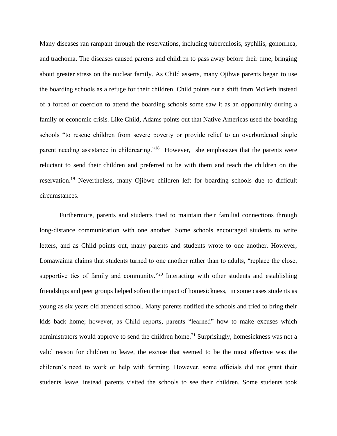Many diseases ran rampant through the reservations, including tuberculosis, syphilis, gonorrhea, and trachoma. The diseases caused parents and children to pass away before their time, bringing about greater stress on the nuclear family. As Child asserts, many Ojibwe parents began to use the boarding schools as a refuge for their children. Child points out a shift from McBeth instead of a forced or coercion to attend the boarding schools some saw it as an opportunity during a family or economic crisis. Like Child, Adams points out that Native Americas used the boarding schools "to rescue children from severe poverty or provide relief to an overburdened single parent needing assistance in childrearing."<sup>18</sup> However, she emphasizes that the parents were reluctant to send their children and preferred to be with them and teach the children on the reservation.<sup>19</sup> Nevertheless, many Ojibwe children left for boarding schools due to difficult circumstances.

Furthermore, parents and students tried to maintain their familial connections through long-distance communication with one another. Some schools encouraged students to write letters, and as Child points out, many parents and students wrote to one another. However, Lomawaima claims that students turned to one another rather than to adults, "replace the close, supportive ties of family and community."<sup>20</sup> Interacting with other students and establishing friendships and peer groups helped soften the impact of homesickness, in some cases students as young as six years old attended school. Many parents notified the schools and tried to bring their kids back home; however, as Child reports, parents "learned" how to make excuses which administrators would approve to send the children home.<sup>21</sup> Surprisingly, homesickness was not a valid reason for children to leave, the excuse that seemed to be the most effective was the children's need to work or help with farming. However, some officials did not grant their students leave, instead parents visited the schools to see their children. Some students took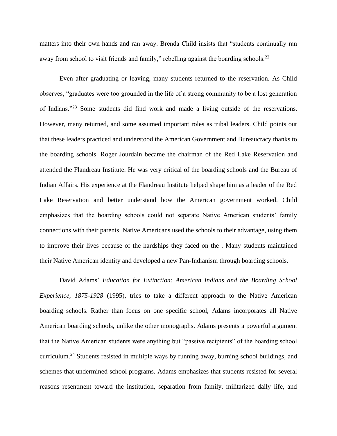matters into their own hands and ran away. Brenda Child insists that "students continually ran away from school to visit friends and family," rebelling against the boarding schools.<sup>22</sup>

Even after graduating or leaving, many students returned to the reservation. As Child observes, "graduates were too grounded in the life of a strong community to be a lost generation of Indians."<sup>23</sup> Some students did find work and made a living outside of the reservations. However, many returned, and some assumed important roles as tribal leaders. Child points out that these leaders practiced and understood the American Government and Bureaucracy thanks to the boarding schools. Roger Jourdain became the chairman of the Red Lake Reservation and attended the Flandreau Institute. He was very critical of the boarding schools and the Bureau of Indian Affairs. His experience at the Flandreau Institute helped shape him as a leader of the Red Lake Reservation and better understand how the American government worked. Child emphasizes that the boarding schools could not separate Native American students' family connections with their parents. Native Americans used the schools to their advantage, using them to improve their lives because of the hardships they faced on the . Many students maintained their Native American identity and developed a new Pan-Indianism through boarding schools.

David Adams' *Education for Extinction: American Indians and the Boarding School Experience, 1875-1928* (1995), tries to take a different approach to the Native American boarding schools. Rather than focus on one specific school, Adams incorporates all Native American boarding schools, unlike the other monographs. Adams presents a powerful argument that the Native American students were anything but "passive recipients" of the boarding school curriculum.<sup>24</sup> Students resisted in multiple ways by running away, burning school buildings, and schemes that undermined school programs. Adams emphasizes that students resisted for several reasons resentment toward the institution, separation from family, militarized daily life, and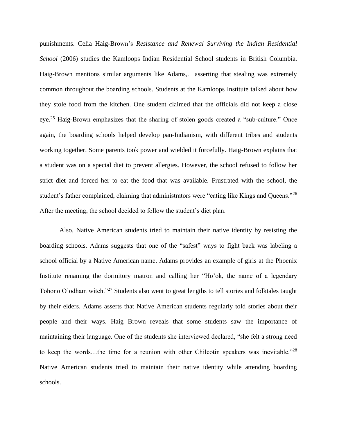punishments. Celia Haig-Brown's *Resistance and Renewal Surviving the Indian Residential School* (2006) studies the Kamloops Indian Residential School students in British Columbia. Haig-Brown mentions similar arguments like Adams,. asserting that stealing was extremely common throughout the boarding schools. Students at the Kamloops Institute talked about how they stole food from the kitchen. One student claimed that the officials did not keep a close eye.<sup>25</sup> Haig-Brown emphasizes that the sharing of stolen goods created a "sub-culture." Once again, the boarding schools helped develop pan-Indianism, with different tribes and students working together. Some parents took power and wielded it forcefully. Haig-Brown explains that a student was on a special diet to prevent allergies. However, the school refused to follow her strict diet and forced her to eat the food that was available. Frustrated with the school, the student's father complained, claiming that administrators were "eating like Kings and Queens."<sup>26</sup> After the meeting, the school decided to follow the student's diet plan.

Also, Native American students tried to maintain their native identity by resisting the boarding schools. Adams suggests that one of the "safest" ways to fight back was labeling a school official by a Native American name. Adams provides an example of girls at the Phoenix Institute renaming the dormitory matron and calling her "Ho'ok, the name of a legendary Tohono O'odham witch."<sup>27</sup> Students also went to great lengths to tell stories and folktales taught by their elders. Adams asserts that Native American students regularly told stories about their people and their ways. Haig Brown reveals that some students saw the importance of maintaining their language. One of the students she interviewed declared, "she felt a strong need to keep the words…the time for a reunion with other Chilcotin speakers was inevitable."<sup>28</sup> Native American students tried to maintain their native identity while attending boarding schools.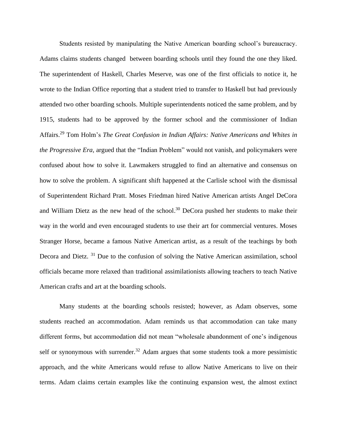Students resisted by manipulating the Native American boarding school's bureaucracy. Adams claims students changed between boarding schools until they found the one they liked. The superintendent of Haskell, Charles Meserve, was one of the first officials to notice it, he wrote to the Indian Office reporting that a student tried to transfer to Haskell but had previously attended two other boarding schools. Multiple superintendents noticed the same problem, and by 1915, students had to be approved by the former school and the commissioner of Indian Affairs.<sup>29</sup> Tom Holm's *The Great Confusion in Indian Affairs: Native Americans and Whites in the Progressive Era,* argued that the "Indian Problem" would not vanish, and policymakers were confused about how to solve it. Lawmakers struggled to find an alternative and consensus on how to solve the problem. A significant shift happened at the Carlisle school with the dismissal of Superintendent Richard Pratt. Moses Friedman hired Native American artists Angel DeCora and William Dietz as the new head of the school. <sup>30</sup> DeCora pushed her students to make their way in the world and even encouraged students to use their art for commercial ventures. Moses Stranger Horse, became a famous Native American artist, as a result of the teachings by both Decora and Dietz. <sup>31</sup> Due to the confusion of solving the Native American assimilation, school officials became more relaxed than traditional assimilationists allowing teachers to teach Native American crafts and art at the boarding schools.

Many students at the boarding schools resisted; however, as Adam observes, some students reached an accommodation. Adam reminds us that accommodation can take many different forms, but accommodation did not mean "wholesale abandonment of one's indigenous self or synonymous with surrender.<sup>32</sup> Adam argues that some students took a more pessimistic approach, and the white Americans would refuse to allow Native Americans to live on their terms. Adam claims certain examples like the continuing expansion west, the almost extinct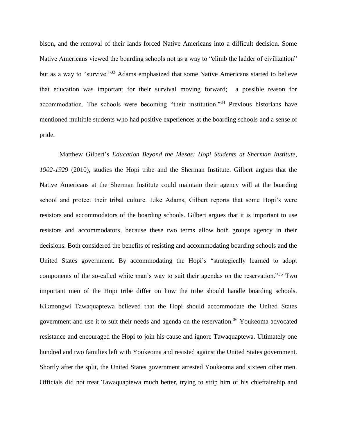bison, and the removal of their lands forced Native Americans into a difficult decision. Some Native Americans viewed the boarding schools not as a way to "climb the ladder of civilization" but as a way to "survive."<sup>33</sup> Adams emphasized that some Native Americans started to believe that education was important for their survival moving forward; a possible reason for accommodation. The schools were becoming "their institution."<sup>34</sup> Previous historians have mentioned multiple students who had positive experiences at the boarding schools and a sense of pride.

Matthew Gilbert's *Education Beyond the Mesas: Hopi Students at Sherman Institute, 1902-1929* (2010)*,* studies the Hopi tribe and the Sherman Institute. Gilbert argues that the Native Americans at the Sherman Institute could maintain their agency will at the boarding school and protect their tribal culture. Like Adams, Gilbert reports that some Hopi's were resistors and accommodators of the boarding schools. Gilbert argues that it is important to use resistors and accommodators, because these two terms allow both groups agency in their decisions. Both considered the benefits of resisting and accommodating boarding schools and the United States government. By accommodating the Hopi's "strategically learned to adopt components of the so-called white man's way to suit their agendas on the reservation."<sup>35</sup> Two important men of the Hopi tribe differ on how the tribe should handle boarding schools. Kikmongwi Tawaquaptewa believed that the Hopi should accommodate the United States government and use it to suit their needs and agenda on the reservation.<sup>36</sup> Youkeoma advocated resistance and encouraged the Hopi to join his cause and ignore Tawaquaptewa. Ultimately one hundred and two families left with Youkeoma and resisted against the United States government. Shortly after the split, the United States government arrested Youkeoma and sixteen other men. Officials did not treat Tawaquaptewa much better, trying to strip him of his chieftainship and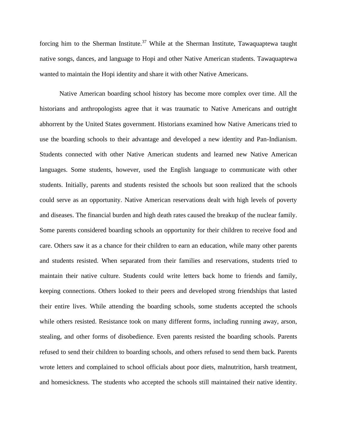forcing him to the Sherman Institute.<sup>37</sup> While at the Sherman Institute, Tawaquaptewa taught native songs, dances, and language to Hopi and other Native American students. Tawaquaptewa wanted to maintain the Hopi identity and share it with other Native Americans.

Native American boarding school history has become more complex over time. All the historians and anthropologists agree that it was traumatic to Native Americans and outright abhorrent by the United States government. Historians examined how Native Americans tried to use the boarding schools to their advantage and developed a new identity and Pan-Indianism. Students connected with other Native American students and learned new Native American languages. Some students, however, used the English language to communicate with other students. Initially, parents and students resisted the schools but soon realized that the schools could serve as an opportunity. Native American reservations dealt with high levels of poverty and diseases. The financial burden and high death rates caused the breakup of the nuclear family. Some parents considered boarding schools an opportunity for their children to receive food and care. Others saw it as a chance for their children to earn an education, while many other parents and students resisted. When separated from their families and reservations, students tried to maintain their native culture. Students could write letters back home to friends and family, keeping connections. Others looked to their peers and developed strong friendships that lasted their entire lives. While attending the boarding schools, some students accepted the schools while others resisted. Resistance took on many different forms, including running away, arson, stealing, and other forms of disobedience. Even parents resisted the boarding schools. Parents refused to send their children to boarding schools, and others refused to send them back. Parents wrote letters and complained to school officials about poor diets, malnutrition, harsh treatment, and homesickness. The students who accepted the schools still maintained their native identity.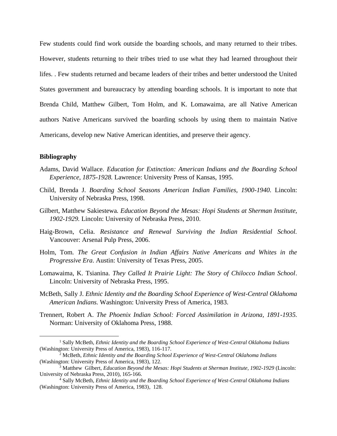Few students could find work outside the boarding schools, and many returned to their tribes. However, students returning to their tribes tried to use what they had learned throughout their lifes. . Few students returned and became leaders of their tribes and better understood the United States government and bureaucracy by attending boarding schools. It is important to note that Brenda Child, Matthew Gilbert, Tom Holm, and K. Lomawaima, are all Native American authors Native Americans survived the boarding schools by using them to maintain Native Americans, develop new Native American identities, and preserve their agency.

## **Bibliography**

- Adams, David Wallace. *Education for Extinction: American Indians and the Boarding School Experience, 1875-1928.* Lawrence: University Press of Kansas, 1995.
- Child, Brenda J. *Boarding School Seasons American Indian Families, 1900-1940.* Lincoln: University of Nebraska Press, 1998.
- Gilbert, Matthew Sakiestewa*. Education Beyond the Mesas: Hopi Students at Sherman Institute, 1902-1929.* Lincoln: University of Nebraska Press, 2010.
- Haig-Brown, Celia. *Resistance and Renewal Surviving the Indian Residential School.* Vancouver: Arsenal Pulp Press, 2006.
- Holm, Tom*. The Great Confusion in Indian Affairs Native Americans and Whites in the Progressive Era*. Austin: University of Texas Press, 2005.
- Lomawaima, K. Tsianina. *They Called It Prairie Light: The Story of Chilocco Indian School*. Lincoln: University of Nebraska Press, 1995.
- McBeth, Sally J. *Ethnic Identity and the Boarding School Experience of West-Central Oklahoma American Indians.* Washington: University Press of America, 1983.
- Trennert, Robert A. *The Phoenix Indian School: Forced Assimilation in Arizona, 1891-1935.*  Norman: University of Oklahoma Press, 1988.

<sup>1</sup> Sally McBeth, *Ethnic Identity and the Boarding School Experience of West-Central Oklahoma Indians* (Washington: University Press of America, 1983), 116-117.

<sup>2</sup> McBeth, *Ethnic Identity and the Boarding School Experience of West-Central Oklahoma Indians* (Washington: University Press of America, 1983), 122.

<sup>3</sup> Matthew Gilbert, *Education Beyond the Mesas: Hopi Students at Sherman Institute, 1902-1929* (Lincoln: University of Nebraska Press, 2010), 165-166.

<sup>4</sup> Sally McBeth, *Ethnic Identity and the Boarding School Experience of West-Central Oklahoma Indians* (Washington: University Press of America, 1983), 128.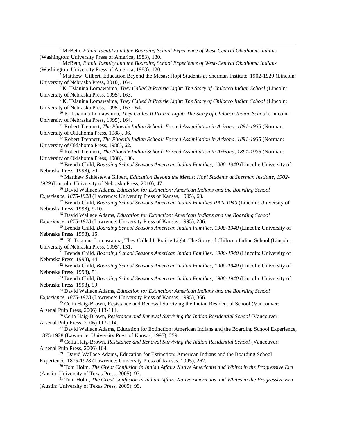<sup>5</sup> McBeth, *Ethnic Identity and the Boarding School Experience of West-Central Oklahoma Indians* (Washington: University Press of America, 1983), 130.

<sup>6</sup> McBeth, *Ethnic Identity and the Boarding School Experience of West-Central Oklahoma Indians* (Washington: University Press of America, 1983), 120.

<sup>7</sup> Matthew Gilbert, Education Beyond the Mesas: Hopi Students at Sherman Institute, 1902-1929 (Lincoln: University of Nebraska Press, 2010), 164.

<sup>8</sup> K. Tsianina Lomawaima, *They Called It Prairie Light: The Story of Chilocco Indian School* (Lincoln: University of Nebraska Press, 1995), 163.

<sup>9</sup> K. Tsianina Lomawaima, *They Called It Prairie Light: The Story of Chilocco Indian School* (Lincoln: University of Nebraska Press, 1995), 163-164.

<sup>10</sup> K. Tsianina Lomawaima, *They Called It Prairie Light: The Story of Chilocco Indian School* (Lincoln: University of Nebraska Press, 1995), 164.

<sup>11</sup> Robert Trennert, *The Phoenix Indian School: Forced Assimilation in Arizona, 1891-1935* (Norman: University of Oklahoma Press, 1988), 36.

<sup>12</sup> Robert Trennert, *The Phoenix Indian School: Forced Assimilation in Arizona, 1891-1935* (Norman: University of Oklahoma Press, 1988), 62.

<sup>13</sup> Robert Trennert, *The Phoenix Indian School: Forced Assimilation in Arizona, 1891-1935* (Norman: University of Oklahoma Press, 1988)*,* 136.

<sup>14</sup> Brenda Child, *Boarding School Seasons American Indian Families, 1900-1940* (Lincoln: University of Nebraska Press, 1998), 70.

<sup>15</sup> Matthew Sakiestewa Gilbert, *Education Beyond the Mesas: Hopi Students at Sherman Institute, 1902- 1929* (Lincoln: University of Nebraska Press, 2010), 47.

<sup>16</sup> David Wallace Adams, *Education for Extinction: American Indians and the Boarding School Experience, 1875-1928* (Lawrence: University Press of Kansas, 1995), 63.

<sup>17</sup> Brenda Child, *Boarding School Seasons American Indian Families 1900-1940* (Lincoln: University of Nebraska Press, 1998), 9-10.

<sup>18</sup> David Wallace Adams, *Education for Extinction: American Indians and the Boarding School Experience, 1875-1928* (Lawrence: University Press of Kansas, 1995), 286.

<sup>19</sup> Brenda Child, *Boarding School Seasons American Indian Families, 1900-1940* (Lincoln: University of Nebraska Press, 1998), 15.

<sup>20</sup> K. Tsianina Lomawaima, They Called It Prairie Light: The Story of Chilocco Indian School (Lincoln: University of Nebraska Press, 1995), 131.

<sup>21</sup> Brenda Child, *Boarding School Seasons American Indian Families, 1900-1940* (Lincoln: University of Nebraska Press, 1998), 44.

<sup>22</sup> Brenda Child, *Boarding School Seasons American Indian Families, 1900-1940* (Lincoln: University of Nebraska Press, 1998), 51.

<sup>23</sup> Brenda Child, *Boarding School Seasons American Indian Families, 1900-1940* (Lincoln: University of Nebraska Press, 1998), 99.

<sup>24</sup> David Wallace Adams, *Education for Extinction: American Indians and the Boarding School Experience, 1875-1928* (Lawrence: University Press of Kansas, 1995), 366.

<sup>25</sup> Celia Haig-Brown, Resistance and Renewal Surviving the Indian Residential School (Vancouver: Arsenal Pulp Press, 2006) 113-114.

<sup>26</sup> Celia Haig-Brown, *Resistance and Renewal Surviving the Indian Residential School* (Vancouver: Arsenal Pulp Press, 2006) 113-114.

 $^{27}$  David Wallace Adams, Education for Extinction: American Indians and the Boarding School Experience, 1875-1928 (Lawrence: University Press of Kansas, 1995), 259.

<sup>28</sup> Celia Haig-Brown, *Resistance and Renewal Surviving the Indian Residential School* (Vancouver: Arsenal Pulp Press, 2006) 104.

<sup>29</sup> David Wallace Adams, Education for Extinction: American Indians and the Boarding School Experience, 1875-1928 (Lawrence: University Press of Kansas, 1995), 262.

<sup>30</sup> Tom Holm, *The Great Confusion in Indian Affairs Native Americans and Whites in the Progressive Era* (Austin: University of Texas Press, 2005), 97.

<sup>31</sup> Tom Holm, *The Great Confusion in Indian Affairs Native Americans and Whites in the Progressive Era* (Austin: University of Texas Press, 2005), 99.